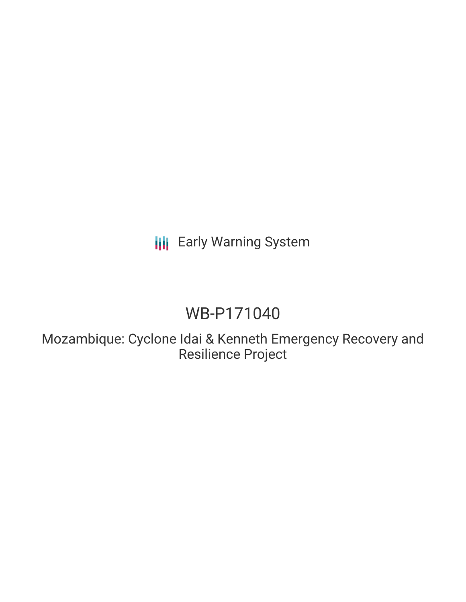## **III** Early Warning System

# WB-P171040

Mozambique: Cyclone Idai & Kenneth Emergency Recovery and Resilience Project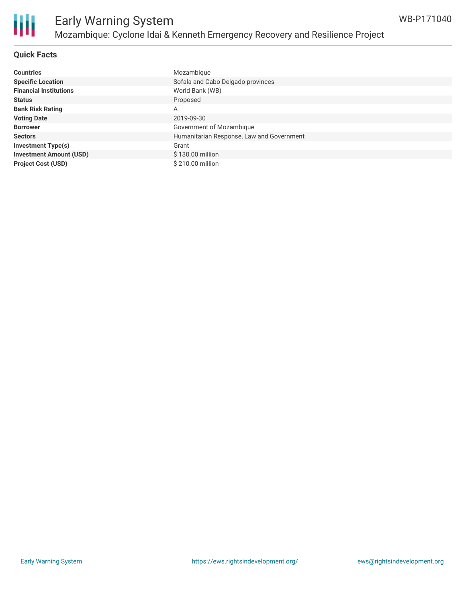

#### **Quick Facts**

| <b>Countries</b>               | Mozambique                                |
|--------------------------------|-------------------------------------------|
| <b>Specific Location</b>       | Sofala and Cabo Delgado provinces         |
| <b>Financial Institutions</b>  | World Bank (WB)                           |
| <b>Status</b>                  | Proposed                                  |
| <b>Bank Risk Rating</b>        | A                                         |
| <b>Voting Date</b>             | 2019-09-30                                |
| <b>Borrower</b>                | Government of Mozambique                  |
| <b>Sectors</b>                 | Humanitarian Response, Law and Government |
| <b>Investment Type(s)</b>      | Grant                                     |
| <b>Investment Amount (USD)</b> | \$130.00 million                          |
| <b>Project Cost (USD)</b>      | \$210.00 million                          |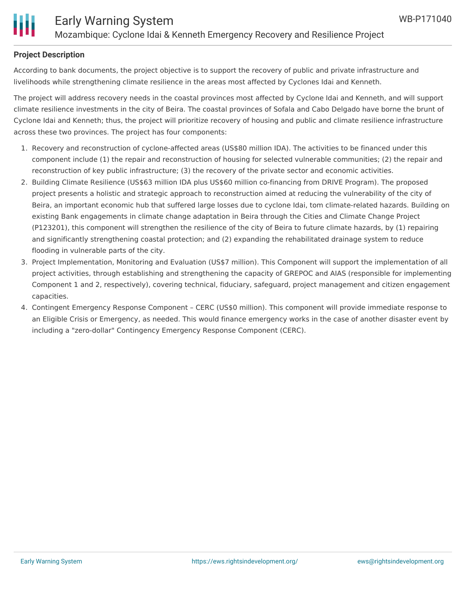

#### **Project Description**

According to bank documents, the project objective is to support the recovery of public and private infrastructure and livelihoods while strengthening climate resilience in the areas most affected by Cyclones Idai and Kenneth.

The project will address recovery needs in the coastal provinces most affected by Cyclone Idai and Kenneth, and will support climate resilience investments in the city of Beira. The coastal provinces of Sofala and Cabo Delgado have borne the brunt of Cyclone Idai and Kenneth; thus, the project will prioritize recovery of housing and public and climate resilience infrastructure across these two provinces. The project has four components:

- 1. Recovery and reconstruction of cyclone-affected areas (US\$80 million IDA). The activities to be financed under this component include (1) the repair and reconstruction of housing for selected vulnerable communities; (2) the repair and reconstruction of key public infrastructure; (3) the recovery of the private sector and economic activities.
- 2. Building Climate Resilience (US\$63 million IDA plus US\$60 million co-financing from DRIVE Program). The proposed project presents a holistic and strategic approach to reconstruction aimed at reducing the vulnerability of the city of Beira, an important economic hub that suffered large losses due to cyclone Idai, tom climate-related hazards. Building on existing Bank engagements in climate change adaptation in Beira through the Cities and Climate Change Project (P123201), this component will strengthen the resilience of the city of Beira to future climate hazards, by (1) repairing and significantly strengthening coastal protection; and (2) expanding the rehabilitated drainage system to reduce flooding in vulnerable parts of the city.
- 3. Project Implementation, Monitoring and Evaluation (US\$7 million). This Component will support the implementation of all project activities, through establishing and strengthening the capacity of GREPOC and AIAS (responsible for implementing Component 1 and 2, respectively), covering technical, fiduciary, safeguard, project management and citizen engagement capacities.
- 4. Contingent Emergency Response Component CERC (US\$0 million). This component will provide immediate response to an Eligible Crisis or Emergency, as needed. This would finance emergency works in the case of another disaster event by including a "zero-dollar" Contingency Emergency Response Component (CERC).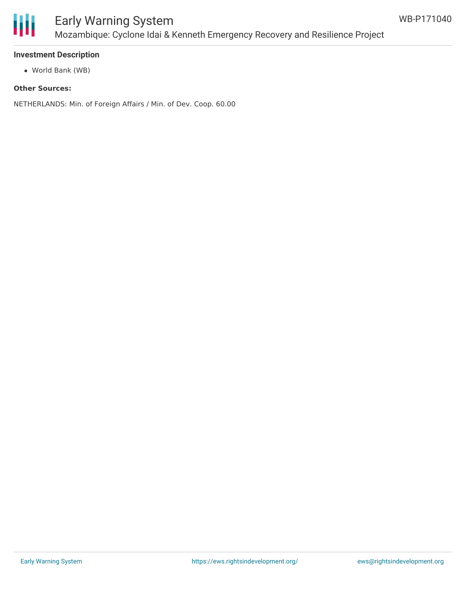

### Early Warning System Mozambique: Cyclone Idai & Kenneth Emergency Recovery and Resilience Project

#### **Investment Description**

World Bank (WB)

#### **Other Sources:**

NETHERLANDS: Min. of Foreign Affairs / Min. of Dev. Coop. 60.00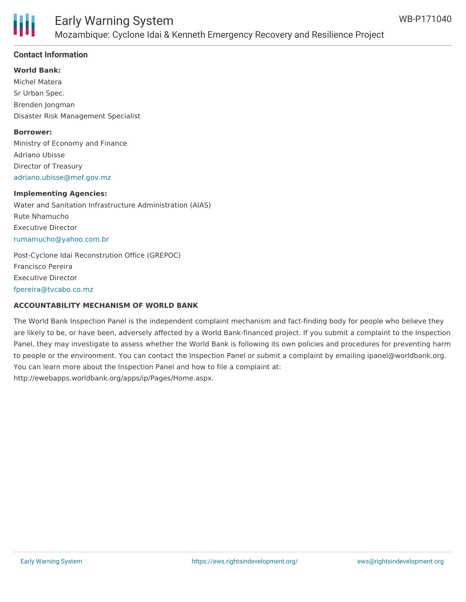

#### **Contact Information**

#### **World Bank:**

Michel Matera Sr Urban Spec. Brenden Jongman Disaster Risk Management Specialist

#### **Borrower:**

Ministry of Economy and Finance Adriano Ubisse Director of Treasury [adriano.ubisse@mef.gov.mz](mailto:adriano.ubisse@mef.gov.mz)

#### **Implementing Agencies:**

Water and Sanitation Infrastructure Administration (AIAS) Rute Nhamucho Executive Director [rumamucho@yahoo.com.br](mailto:rumamucho@yahoo.com.br)

Post-Cyclone Idai Reconstrution Office (GREPOC) Francisco Pereira Executive Director [fpereira@tvcabo.co.mz](mailto:fpereira@tvcabo.co.mz)

#### **ACCOUNTABILITY MECHANISM OF WORLD BANK**

The World Bank Inspection Panel is the independent complaint mechanism and fact-finding body for people who believe they are likely to be, or have been, adversely affected by a World Bank-financed project. If you submit a complaint to the Inspection Panel, they may investigate to assess whether the World Bank is following its own policies and procedures for preventing harm to people or the environment. You can contact the Inspection Panel or submit a complaint by emailing ipanel@worldbank.org. You can learn more about the Inspection Panel and how to file a complaint at: http://ewebapps.worldbank.org/apps/ip/Pages/Home.aspx.